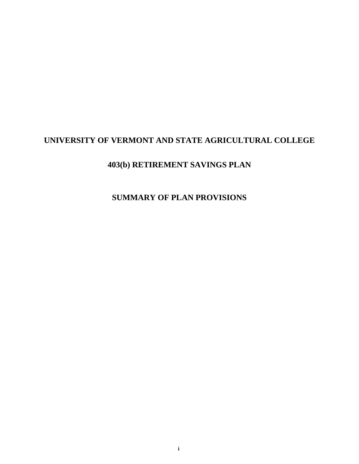# **UNIVERSITY OF VERMONT AND STATE AGRICULTURAL COLLEGE**

# **403(b) RETIREMENT SAVINGS PLAN**

# **SUMMARY OF PLAN PROVISIONS**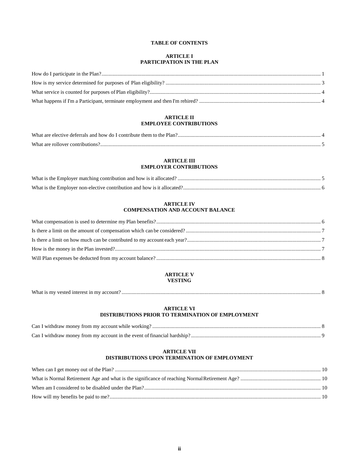## **TABLE OF CONTENTS**

## **ARTICLE I PARTICIPATION IN THE PLAN**

## **[ARTICLE II](#page-5-2)  [EMPLOYEE CONTRIBUTIONS](#page-5-2)**

| What are elective deferrals and how do I contribute them to the Plan?. |  |
|------------------------------------------------------------------------|--|
|                                                                        |  |

## **[ARTICLE III](#page-6-1)  [EMPLOYER CONTRIBUTIONS](#page-6-1)**

## **[ARTICLE IV](#page-7-1)  [COMPENSATION AND ACCOUNT BALANCE](#page-7-1)**

## **[ARTICLE V](#page-10-0)  [VESTING](#page-10-0)**

| What is my vested interest in my account? |  |  |
|-------------------------------------------|--|--|
|-------------------------------------------|--|--|

## **[ARTICLE VI](#page-10-2) [DISTRIBUTIONS PRIOR TO TERMINATION OF EMPLOYMENT](#page-10-3)**

| Can I withdraw money from my account while working?.                     |  |
|--------------------------------------------------------------------------|--|
| Can I withdraw money from my account in the event of financial hardship? |  |

## **[ARTICLE VII](#page-11-0) [DISTRIBUTIONS UPON TERMINATION OF EMPLOYMENT](#page-11-1)**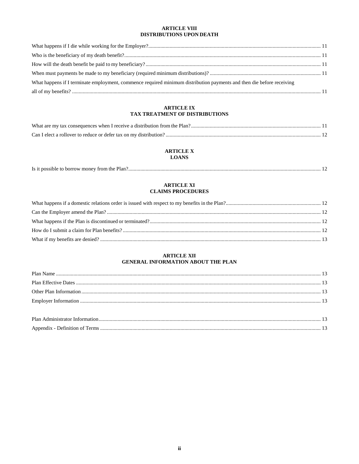## **ARTICLE VIII** DISTRIBUTIONS UPON DEATH

| What happens if I terminate employment, commence required minimum distribution payments and then die before receiving |  |
|-----------------------------------------------------------------------------------------------------------------------|--|
|                                                                                                                       |  |

## **ARTICLE IX** TAX TREATMENT OF DISTRIBUTIONS

## **ARTICLE X**

## **LOANS**

| Is it possible to borrow money from the Plan? |
|-----------------------------------------------|
|-----------------------------------------------|

## **ARTICLE XI CLAIMS PROCEDURES**

## **ARTICLE XII** GENERAL INFORMATION ABOUT THE PLAN

| Plan Administrator Informs |  |
|----------------------------|--|
| Annendix - Definition of T |  |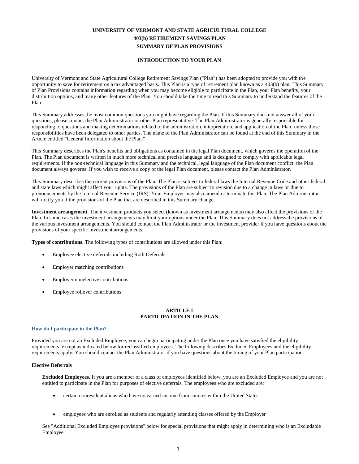## **UNIVERSITY OF VERMONT AND STATE AGRICULTURAL COLLEGE 403(b) RETIREMENT SAVINGS PLAN SUMMARY OF PLAN PROVISIONS**

## **INTRODUCTION TO YOUR PLAN**

University of Vermont and State Agricultural College Retirement Savings Plan ("Plan") has been adopted to provide you with the opportunity to save for retirement on a tax advantaged basis. This Plan is a type of retirement plan known as a 403(b) plan. This Summary of Plan Provisions contains information regarding when you may become eligible to participate in the Plan, your Plan benefits, your distribution options, and many other features of the Plan. You should take the time to read this Summary to understand the features of the Plan.

This Summary addresses the most common questions you might have regarding the Plan. If this Summary does not answer all of your questions, please contact the Plan Administrator or other Plan representative. The Plan Administrator is generally responsible for responding to questions and making determinations related to the administration, interpretation, and application of the Plan, unless those responsibilities have been delegated to other parties. The name of the Plan Administrator can be found at the end of this Summary in the Article entitled "General Information about the Plan."

This Summary describes the Plan's benefits and obligations as contained in the legal Plan document, which governs the operation of the Plan. The Plan document is written in much more technical and precise language and is designed to comply with applicable legal requirements. If the non-technical language in this Summary and the technical, legal language of the Plan document conflict, the Plan document always governs. If you wish to receive a copy of the legal Plan document, please contact the Plan Administrator.

This Summary describes the current provisions of the Plan. The Plan is subject to federal laws the Internal Revenue Code and other federal and state laws which might affect your rights. The provisions of the Plan are subject to revision due to a change in laws or due to pronouncements by the Internal Revenue Service (IRS). Your Employer may also amend or terminate this Plan. The Plan Administrator will notify you if the provisions of the Plan that are described in this Summary change.

**Investment arrangement.** The investment products you select (known as investment arrangements) may also affect the provisions of the Plan. In some cases the investment arrangements may limit your options under the Plan. This Summary does not address the provisions of the various investment arrangements. You should contact the Plan Administrator or the investment provider if you have questions about the provisions of your specific investment arrangements.

**Types of contributions.** The following types of contributions are allowed under this Plan:

- Employee elective deferrals including Roth Deferrals
- Employer matching contributions
- Employer nonelective contributions
- Employee rollover contributions

## **ARTICLE I PARTICIPATION IN THE PLAN**

#### <span id="page-3-0"></span>**How do I participate in the Plan?**

Provided you are not an Excluded Employee, you can begin participating under the Plan once you have satisfied the eligibility requirements, except as indicated below for reclassified employees. The following describes Excluded Employees and the eligibility requirements apply. You should contact the Plan Administrator if you have questions about the timing of your Plan participation.

#### **Elective Deferrals**

**Excluded Employees.** If you are a member of a class of employees identified below, you are an Excluded Employee and you are not entitled to participate in the Plan for purposes of elective deferrals. The employees who are excluded are:

- certain nonresident aliens who have no earned income from sources within the United States
- employees who are enrolled as students and regularly attending classes offered by the Employer

See "Additional Excluded Employee provisions" below for special provisions that might apply in determining who is an Excludable Employee.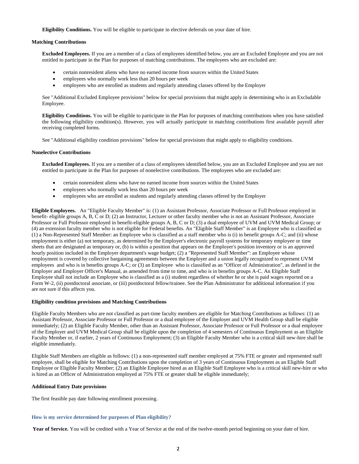**Eligibility Conditions.** You will be eligible to participate in elective deferrals on your date of hire.

## **Matching Contributions**

**Excluded Employees.** If you are a member of a class of employees identified below, you are an Excluded Employee and you are not entitled to participate in the Plan for purposes of matching contributions. The employees who are excluded are:

- certain nonresident aliens who have no earned income from sources within the United States
- employees who normally work less than 20 hours per week
- employees who are enrolled as students and regularly attending classes offered by the Employer

See "Additional Excluded Employee provisions" below for special provisions that might apply in determining who is an Excludable Employee.

**Eligibility Conditions.** You will be eligible to participate in the Plan for purposes of matching contributions when you have satisfied the following eligibility condition(s). However, you will actually participate in matching contributions first available payroll after receiving completed forms.

See "Additional eligibility condition provisions" below for special provisions that might apply to eligibility conditions.

#### **Nonelective Contributions**

**Excluded Employees.** If you are a member of a class of employees identified below, you are an Excluded Employee and you are not entitled to participate in the Plan for purposes of nonelective contributions. The employees who are excluded are:

- certain nonresident aliens who have no earned income from sources within the United States
- employees who normally work less than 20 hours per week
- employees who are enrolled as students and regularly attending classes offered by the Employer

**Eligible Employees.** An "Eligible Faculty Member" is: (1) an Assistant Professor, Associate Professor or Full Professor employed in benefit- eligible groups A, B, C or D; (2) an Instructor, Lecturer or other faculty member who is not an Assistant Professor, Associate Professor or Full Professor employed in benefit-eligible groups A, B, C or D; (3) a dual employee of UVM and UVM Medical Group; or (4) an extension faculty member who is not eligible for Federal benefits. An "Eligible Staff Member" is an Employee who is classified as (1) a Non-Represented Staff Member: an Employee who is classified as a staff member who is (i) in benefit groups A-C; and (ii) whose employment is either (a) not temporary, as determined by the Employer's electronic payroll systems for temporary employee or time sheets that are designated as temporary or, (b) is within a position that appears on the Employer's position inventory or is an approved hourly position included in the Employer department's wage budget; (2) a "Represented Staff Member": an Employee whose employment is covered by collective bargaining agreements between the Employer and a union legally recognized to represent UVM employees and who is in benefits groups A-C; or (3) an Employee who is classified as an "Officer of Administration", as defined in the Employer and Employer Officer's Manual, as amended from time to time, and who is in benefits groups A-C. An Eligible Staff Employee shall not include an Employee who is classified as a (i) student regardless of whether he or she is paid wages reported on a Form W-2, (ii) postdoctoral associate, or (iii) postdoctoral fellow/trainee. See the Plan Administrator for additional information if you are not sure if this affects you.

#### **Eligibility condition provisions and Matching Contributions**

Eligible Faculty Members who are not classified as part-time faculty members are eligible for Matching Contributions as follows: (1) an Assistant Professor, Associate Professor or Full Professor or a dual employee of the Employer and UVM Health Group shall be eligible immediately; (2) an Eligible Faculty Member, other than an Assistant Professor, Associate Professor or Full Professor or a dual employee of the Employer and UVM Medical Group shall be eligible upon the completion of 4 semesters of Continuous Employment as an Eligible Faculty Member or, if earlier, 2 years of Continuous Employment; (3) an Eligible Faculty Member who is a critical skill new-hire shall be eligible immediately.

Eligible Staff Members are eligible as follows: (1) a non-represented staff member employed at 75% FTE or greater and represented staff employee, shall be eligible for Matching Contributions upon the completion of 3 years of Continuous Employment as an Eligible Staff Employee or Eligible Faculty Member; (2) an Eligible Employee hired as an Eligible Staff Employee who is a critical skill new-hire or who is hired as an Officer of Administration employed at 75% FTE or greater shall be eligible immediately;

## **Additional Entry Date provisions**

The first feasible pay date following enrollment processing.

#### <span id="page-4-0"></span>**How is my service determined for purposes of Plan eligibility?**

 **Year of Service.** You will be credited with a Year of Service at the end of the twelve-month period beginning on your date of hire.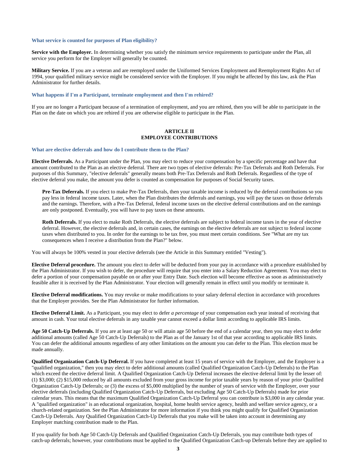## <span id="page-5-0"></span>**What service is counted for purposes of Plan eligibility?**

**Service with the Employer.** In determining whether you satisfy the minimum service requirements to participate under the Plan, all service you perform for the Employer will generally be counted.

**Military Service.** If you are a veteran and are reemployed under the Uniformed Services Employment and Reemployment Rights Act of 1994, your qualified military service might be considered service with the Employer. If you might be affected by this law, ask the Plan Administrator for further details.

#### <span id="page-5-1"></span>**What happens if I'm a Participant, terminate employment and then I'm rehired?**

If you are no longer a Participant because of a termination of employment, and you are rehired, then you will be able to participate in the Plan on the date on which you are rehired if you are otherwise eligible to participate in the Plan.

## **ARTICLE II EMPLOYEE CONTRIBUTIONS**

#### <span id="page-5-3"></span><span id="page-5-2"></span>**What are elective deferrals and how do I contribute them to the Plan?**

**Elective Deferrals.** As a Participant under the Plan, you may elect to reduce your compensation by a specific percentage and have that amount contributed to the Plan as an elective deferral. There are two types of elective deferrals: Pre-Tax Deferrals and Roth Deferrals. For purposes of this Summary, "elective deferrals" generally means both Pre-Tax Deferrals and Roth Deferrals. Regardless of the type of elective deferral you make, the amount you defer is counted as compensation for purposes of Social Security taxes.

**Pre-Tax Deferrals.** If you elect to make Pre-Tax Deferrals, then your taxable income is reduced by the deferral contributions so you pay less in federal income taxes. Later, when the Plan distributes the deferrals and earnings, you will pay the taxes on those deferrals and the earnings. Therefore, with a Pre-Tax Deferral, federal income taxes on the elective deferral contributions and on the earnings are only postponed. Eventually, you will have to pay taxes on these amounts.

**Roth Deferrals.** If you elect to make Roth Deferrals, the elective deferrals are subject to federal income taxes in the year of elective deferral. However, the elective deferrals and, in certain cases, the earnings on the elective deferrals are not subject to federal income taxes when distributed to you. In order for the earnings to be tax free, you must meet certain conditions. See "What are my tax consequences when I receive a distribution from the Plan?" below.

You will always be 100% vested in your elective deferrals (see the Article in this Summary entitled "Vesting").

**Elective Deferral procedure.** The amount you elect to defer will be deducted from your pay in accordance with a procedure established by the Plan Administrator. If you wish to defer, the procedure will require that you enter into a Salary Reduction Agreement. You may elect to defer a portion of your compensation payable on or after your Entry Date. Such election will become effective as soon as administratively feasible after it is received by the Plan Administrator. Your election will generally remain in effect until you modify or terminate it.

**Elective Deferral modifications.** You may revoke or make modifications to your salary deferral election in accordance with procedures that the Employer provides. See the Plan Administrator for further information.

**Elective Deferral Limit.** As a Participant, you may elect to defer *a percentage* of your compensation each year instead of receiving that amount in cash. Your total elective deferrals in any taxable year cannot exceed a dollar limit according to applicable IRS limits.

**Age 50 Catch-Up Deferrals.** If you are at least age 50 or will attain age 50 before the end of a calendar year, then you may elect to defer additional amounts (called Age 50 Catch-Up Deferrals) to the Plan as of the January 1st of that year according to applicable IRS limits. You can defer the additional amounts regardless of any other limitations on the amount you can defer to the Plan. This election must be made annually.

**Qualified Organization Catch-Up Deferral.** If you have completed at least 15 years of service with the Employer, and the Employer is a "qualified organization," then you may elect to defer additional amounts (called Qualified Organization Catch-Up Deferrals) to the Plan which exceed the elective deferral limit. A Qualified Organization Catch-Up Deferral increases the elective deferral limit by the lesser of: (1) \$3,000; (2) \$15,000 reduced by all amounts excluded from your gross income for prior taxable years by reason of your prior Qualified Organization Catch-Up Deferrals; or (3) the excess of \$5,000 multiplied by the number of years of service with the Employer, over your elective deferrals (including Qualified Organization Catch-Up Deferrals, but excluding Age 50 Catch-Up Deferrals) made for prior calendar years. This means that the maximum Qualified Organization Catch-Up Deferral you can contribute is \$3,000 in any calendar year. A "qualified organization" is an educational organization, hospital, home health service agency, health and welfare service agency, or a church-related organization. See the Plan Administrator for more information if you think you might qualify for Qualified Organization Catch-Up Deferrals. Any Qualified Organization Catch-Up Deferrals that you make will be taken into account in determining any Employer matching contribution made to the Plan.

If you qualify for both Age 50 Catch-Up Deferrals and Qualified Organization Catch-Up Deferrals, you may contribute both types of catch-up deferrals; however, your contributions must be applied to the Qualified Organization Catch-up Deferrals before they are applied to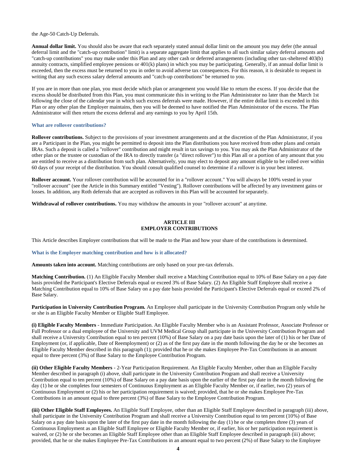the Age-50 Catch-Up Deferrals.

**Annual dollar limit.** You should also be aware that each separately stated annual dollar limit on the amount you may defer (the annual deferral limit and the "catch-up contribution" limit) is a separate aggregate limit that applies to all such similar salary deferral amounts and "catch-up contributions" you may make under this Plan and any other cash or deferred arrangements (including other tax-sheltered 403(b) annuity contracts, simplified employee pensions or 401(k) plans) in which you may be participating. Generally, if an annual dollar limit is exceeded, then the excess must be returned to you in order to avoid adverse tax consequences. For this reason, it is desirable to request in writing that any such excess salary deferral amounts and "catch-up contributions" be returned to you.

If you are in more than one plan, you must decide which plan or arrangement you would like to return the excess. If you decide that the excess should be distributed from this Plan, you must communicate this in writing to the Plan Administrator no later than the March 1st following the close of the calendar year in which such excess deferrals were made. However, if the entire dollar limit is exceeded in this Plan or any other plan the Employer maintains, then you will be deemed to have notified the Plan Administrator of the excess. The Plan Administrator will then return the excess deferral and any earnings to you by April 15th.

#### <span id="page-6-0"></span>**What are rollover contributions?**

**Rollover contributions.** Subject to the provisions of your investment arrangements and at the discretion of the Plan Administrator, if you are a Participant in the Plan, you might be permitted to deposit into the Plan distributions you have received from other plans and certain IRAs. Such a deposit is called a "rollover" contribution and might result in tax savings to you. You may ask the Plan Administrator of the other plan or the trustee or custodian of the IRA to directly transfer (a "direct rollover") to this Plan all or a portion of any amount that you are entitled to receive as a distribution from such plan. Alternatively, you may elect to deposit any amount eligible to be rolled over within 60 days of your receipt of the distribution. You should consult qualified counsel to determine if a rollover is in your best interest.

**Rollover account.** Your rollover contribution will be accounted for in a "rollover account." You will always be 100% vested in your "rollover account" (see the Article in this Summary entitled "Vesting"). Rollover contributions will be affected by any investment gains or losses. In addition, any Roth deferrals that are accepted as rollovers in this Plan will be accounted forseparately.

<span id="page-6-1"></span>**Withdrawal of rollover contributions.** You may withdraw the amounts in your "rollover account" at anytime.

## **ARTICLE III EMPLOYER CONTRIBUTIONS**

This Article describes Employer contributions that will be made to the Plan and how your share of the contributions is determined.

<span id="page-6-2"></span>**What is the Employer matching contribution and how is it allocated?**

**Amounts taken into account.** Matching contributions are only based on your pre-tax deferrals.

**Matching Contribution.** (1) An Eligible Faculty Member shall receive a Matching Contribution equal to 10% of Base Salary on a pay date basis provided the Participant's Elective Deferrals equal or exceed 3% of Base Salary. (2) An Eligible Staff Employee shall receive a Matching Contribution equal to 10% of Base Salary on a pay date basis provided the Participant's Elective Deferrals equal or exceed 2% of Base Salary.

**Participation in University Contribution Program.** An Employee shall participate in the University Contribution Program only while he or she is an Eligible Faculty Member or Eligible Staff Employee.

**(i) Eligible Faculty Members** - Immediate Participation. An Eligible Faculty Member who is an Assistant Professor, Associate Professor or Full Professor or a dual employee of the University and UVM Medical Group shall participate in the University Contribution Program and shall receive a University Contribution equal to ten percent (10%) of Base Salary on a pay date basis upon the later of (1) his or her Date of Employment (or, if applicable, Date of Reemployment) or (2) as of the first pay date in the month following the day he or she becomes an Eligible Faculty Member described in this paragraph (1); provided that he or she makes Employee Pre-Tax Contributions in an amount equal to three percent (3%) of Base Salary to the Employee Contribution Program.

**(ii) Other Eligible Faculty Members** - 2-Year Participation Requirement. An Eligible Faculty Member, other than an Eligible Faculty Member described in paragraph (i) above, shall participate in the University Contribution Program and shall receive a University Contribution equal to ten percent (10%) of Base Salary on a pay date basis upon the earlier of the first pay date in the month following the day (1) he or she completes four semesters of Continuous Employment as an Eligible Faculty Member or, if earlier, two (2) years of Continuous Employment or (2) his or her participation requirement is waived; provided, that he or she makes Employee Pre-Tax Contributions in an amount equal to three percent (3%) of Base Salary to the Employee Contribution Program.

**(iii) Other Eligible Staff Employees.** An Eligible Staff Employee, other than an Eligible Staff Employee described in paragraph (iii) above, shall participate in the University Contribution Program and shall receive a University Contribution equal to ten percent (10%) of Base Salary on a pay date basis upon the later of the first pay date in the month following the day  $(1)$  he or she completes three  $(3)$  years of Continuous Employment as an Eligible Staff Employee or Eligible Faculty Member or, if earlier, his or her participation requirement is waived, or (2) he or she becomes an Eligible Staff Employee other than an Eligible Staff Employee described in paragraph (iii) above; provided, that he or she makes Employee Pre-Tax Contributions in an amount equal to two percent (2%) of Base Salary to the Employee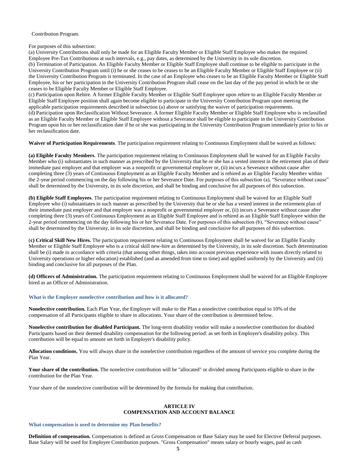Contribution Program.

For purposes of this subsection:

(a) University Contributions shall only be made for an Eligible Faculty Member or Eligible Staff Employee who makes the required Employee Pre-Tax Contributions at such intervals, e.g., pay dates, as determined by the University in its sole discretion. (b) Termination of Participation. An Eligible Faculty Member or Eligible Staff Employee shall continue to be eligible to participate in the University Contribution Program until (i) he or she ceases to be ceases to be an Eligible Faculty Member or Eligible Staff Employee or (ii) the University Contribution Program is terminated. In the case of an Employee who ceases to be an Eligible Faculty Member or Eligible Staff Employee, his or her participation in the University Contribution Program shall cease on the last day of the pay period in which he or she ceases to be Eligible Faculty Member or Eligible Staff Employee.

(c) Participation upon Rehire. A former Eligible Faculty Member or Eligible Staff Employee upon rehire to an Eligible Faculty Member or Eligible Staff Employee position shall again become eligible to participate in the University Contribution Program upon meeting the applicable participation requirements described in subsection (a) above or satisfying the waiver of participation requirements.

(d) Participation upon Reclassification Without Severance. A former Eligible Faculty Member or Eligible Staff Employee who is reclassified as an Eligible Faculty Member or Eligible Staff Employee without a Severance shall be eligible to participate in the University Contribution Program upon his or her reclassification date if he or she was participating in the University Contribution Program immediately prior to his or her reclassification date.

**Waiver of Participation Requirements**. The participation requirement relating to Continuous Employment shall be waived as follows:

**(a) Eligible Faculty Members**. The participation requirement relating to Continuous Employment shall be waived for an Eligible Faculty Member who (i) substantiates in such manner as prescribed by the University that he or she has a vested interest in the retirement plan of their immediate past employer and that employer was a nonprofit or governmental employer or, (ii) incurs a Severance without cause after completing three (3) years of Continuous Employment as an Eligible Faculty Member and is rehired as an Eligible Faculty Member within the 2-year period commencing on the day following his or her Severance Date. For purposes of this subsection (a), "Severance without cause" shall be determined by the University, in its sole discretion, and shall be binding and conclusive for all purposes of this subsection.

**(b) Eligible Staff Employees**. The participation requirement relating to Continuous Employment shall be waived for an Eligible Staff Employee who (i) substantiates in such manner as prescribed by the University that he or she has a vested interest in the retirement plan of their immediate past employer and that employer was a nonprofit or governmental employer or, (ii) incurs a Severance without cause after completing three (3) years of Continuous Employment as an Eligible Staff Employee and is rehired as an Eligible Staff Employee within the 2-year period commencing on the day following his or her Severance Date. For purposes of this subsection (b), "Severance without cause" shall be determined by the University, in its sole discretion, and shall be binding and conclusive for all purposes of this subsection.

(**c) Critical Skill New Hires.** The participation requirement relating to Continuous Employment shall be waived for an Eligible Faculty Member or Eligible Staff Employee who is a critical skill new-hire as determined by the University, in its sole discretion. Such determination shall be (i) made in accordance with criteria (that among other things, takes into account previous experience with issues directly related to University operations or higher education) established (and as amended from time to time) and applied uniformly by the University and (ii) binding and conclusive for all purposes of the Plan.

**(d) Officers of Administration.** The participation requirement relating to Continuous Employment shall be waived for an Eligible Employee hired as an Officer of Administration.

## <span id="page-7-0"></span>**What is the Employer nonelective contribution and how is it allocated?**

**Nonelective contribution.** Each Plan Year, the Employer will make to the Plan a nonelective contribution equal to 10% of the compensation of all Participants eligible to share in allocations. Your share of the contribution is determined below.

**Nonelective contribution for disabled Participant.** The long-term disability vendor will make a nonelective contribution for disabled Participants based on their deemed disability compensation for the following period: as set forth in Employer's disability policy. This contribution will be equal to amount set forth in Employer's disability policy.

**Allocation conditions.** You will always share in the nonelective contribution regardless of the amount of service you complete during the Plan Year.

Your share of the contribution. The nonelective contribution will be "allocated" or divided among Participants eligible to share in the contribution for the Plan Year.

<span id="page-7-1"></span>Your share of the nonelective contribution will be determined by the formula for making that contribution.

## **ARTICLE IV COMPENSATION AND ACCOUNT BALANCE**

<span id="page-7-2"></span>**What compensation is used to determine my Plan benefits?**

**Definition of compensation.** Compensation is defined as Gross Compensation or Base Salary may be used for Elective Deferral purposes. Base Salary will be used for Employer Contribution purposes. "Gross Compensation" means salary or hourly wages, paid as cash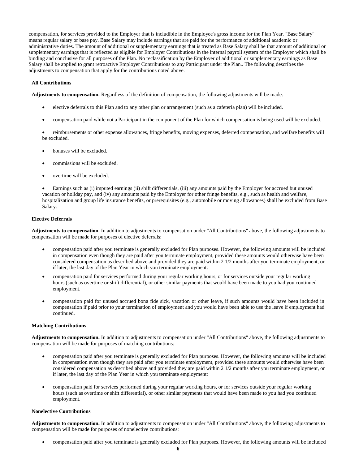compensation, for services provided to the Employer that is includible in the Employee's gross income for the Plan Year. "Base Salary" means regular salary or base pay. Base Salary may include earnings that are paid for the performance of additional academic or administrative duties. The amount of additional or supplementary earnings that is treated as Base Salary shall be that amount of additional or supplementary earnings that is reflected as eligible for Employer Contributions in the internal payroll system of the Employer which shall be binding and conclusive for all purposes of the Plan. No reclassification by the Employer of additional or supplementary earnings as Base Salary shall be applied to grant retroactive Employer Contributions to any Participant under the Plan.. The following describes the adjustments to compensation that apply for the contributions noted above.

## **All Contributions**

**Adjustments to compensation.** Regardless of the definition of compensation, the following adjustments will be made:

- elective deferrals to this Plan and to any other plan or arrangement (such as a cafeteria plan) will be included.
- compensation paid while not a Participant in the component of the Plan for which compensation is being used will be excluded.

 reimbursements or other expense allowances, fringe benefits, moving expenses, deferred compensation, and welfare benefits will be excluded.

- bonuses will be excluded.
- commissions will be excluded.
- overtime will be excluded.

 Earnings such as (i) imputed earnings (ii) shift differentials, (iii) any amounts paid by the Employer for accrued but unused vacation or holiday pay, and (iv) any amounts paid by the Employer for other fringe benefits, e.g., such as health and welfare, hospitalization and group life insurance benefits, or prerequisites (e.g., automobile or moving allowances) shall be excluded from Base Salary.

## **Elective Deferrals**

**Adjustments to compensation.** In addition to adjustments to compensation under "All Contributions" above, the following adjustments to compensation will be made for purposes of elective deferrals:

- compensation paid after you terminate is generally excluded for Plan purposes. However, the following amounts will be included in compensation even though they are paid after you terminate employment, provided these amounts would otherwise have been considered compensation as described above and provided they are paid within 2 1/2 months after you terminate employment, or if later, the last day of the Plan Year in which you terminate employment:
- compensation paid for services performed during your regular working hours, or for services outside your regular working hours (such as overtime or shift differential), or other similar payments that would have been made to you had you continued employment.
- compensation paid for unused accrued bona fide sick, vacation or other leave, if such amounts would have been included in compensation if paid prior to your termination of employment and you would have been able to use the leave if employment had continued.

## **Matching Contributions**

**Adjustments to compensation.** In addition to adjustments to compensation under "All Contributions" above, the following adjustments to compensation will be made for purposes of matching contributions:

- compensation paid after you terminate is generally excluded for Plan purposes. However, the following amounts will be included in compensation even though they are paid after you terminate employment, provided these amounts would otherwise have been considered compensation as described above and provided they are paid within 2 1/2 months after you terminate employment, or if later, the last day of the Plan Year in which you terminate employment:
- compensation paid for services performed during your regular working hours, or for services outside your regular working hours (such as overtime or shift differential), or other similar payments that would have been made to you had you continued employment.

#### **Nonelective Contributions**

**Adjustments to compensation.** In addition to adjustments to compensation under "All Contributions" above, the following adjustments to compensation will be made for purposes of nonelective contributions:

compensation paid after you terminate is generally excluded for Plan purposes. However, the following amounts will be included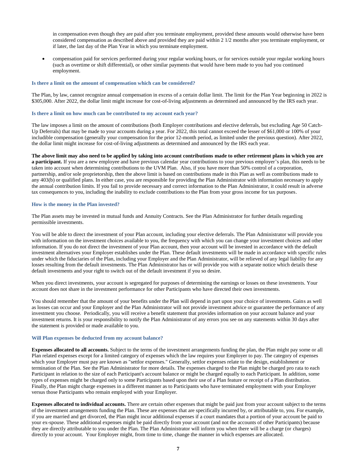in compensation even though they are paid after you terminate employment, provided these amounts would otherwise have been considered compensation as described above and provided they are paid within 2 1/2 months after you terminate employment, or if later, the last day of the Plan Year in which you terminate employment.

 compensation paid for services performed during your regular working hours, or for services outside your regular working hours (such as overtime or shift differential), or other similar payments that would have been made to you had you continued employment.

#### <span id="page-9-0"></span>**Is there a limit on the amount of compensation which can be considered?**

The Plan, by law, cannot recognize annual compensation in excess of a certain dollar limit. The limit for the Plan Year beginning in 2022 is \$305,000. After 2022, the dollar limit might increase for cost-of-living adjustments as determined and announced by the IRS each year.

### <span id="page-9-1"></span>**Is there a limit on how much can be contributed to my account each year?**

The law imposes a limit on the amount of contributions (both Employer contributions and elective deferrals, but excluding Age 50 Catch-Up Deferrals) that may be made to your accounts during a year. For 2022, this total cannot exceed the lesser of \$61,000 or 100% of your includible compensation (generally your compensation for the prior 12-month period, as limited under the previous question). After 2022, the dollar limit might increase for cost-of-living adjustments as determined and announced by the IRS each year.

**The above limit may also need to be applied by taking into account contributions made to other retirement plans in which you are a participant.** If you are a new employee and have previous calendar year contributions to your previous employer's plan, this needs to be taken into account when determining contributions to the UVM Plan. Also, if you have more than 50% control of a corporation, partnership, and/or sole proprietorship, then the above limit is based on contributions made in this Plan as well as contributions made to any 403(b) or qualified plans. In either case, you are responsible for providing the Plan Administrator with information necessary to apply the annual contribution limits. If you fail to provide necessary and correct information to the Plan Administrator, it could result in adverse tax consequences to you, including the inability to exclude contributions to the Plan from your gross income for tax purposes.

#### <span id="page-9-2"></span>**How is the money in the Plan invested?**

The Plan assets may be invested in mutual funds and Annuity Contracts. See the Plan Administrator for further details regarding permissible investments.

You will be able to direct the investment of your Plan account, including your elective deferrals. The Plan Administrator will provide you with information on the investment choices available to you, the frequency with which you can change your investment choices and other information. If you do not direct the investment of your Plan account, then your account will be invested in accordance with the default investment alternatives your Employer establishes under the Plan. These default investments will be made in accordance with specific rules under which the fiduciaries of the Plan, including your Employer and the Plan Administrator, will be relieved of any legal liability for any losses resulting from the default investments. The Plan Administrator has or will provide you with a separate notice which details these default investments and your right to switch out of the default investment if you so desire.

When you direct investments, your account is segregated for purposes of determining the earnings or losses on these investments. Your account does not share in the investment performance for other Participants who have directed their own investments.

You should remember that the amount of your benefits under the Plan will depend in part upon your choice of investments. Gains as well as losses can occur and your Employer and the Plan Administrator will not provide investment advice or guarantee the performance of any investment you choose. Periodically, you will receive a benefit statement that provides information on your account balance and your investment returns. It is your responsibility to notify the Plan Administrator of any errors you see on any statements within 30 days after the statement is provided or made available to you.

#### <span id="page-9-3"></span>**Will Plan expenses be deducted from my account balance?**

**Expenses allocated to all accounts.** Subject to the terms of the investment arrangements funding the plan, the Plan might pay some or all Plan related expenses except for a limited category of expenses which the law requires your Employer to pay. The category of expenses which your Employer must pay are known as "settlor expenses." Generally, settlor expenses relate to the design, establishment or termination of the Plan. See the Plan Administrator for more details. The expenses charged to the Plan might be charged pro rata to each Participant in relation to the size of each Participant's account balance or might be charged equally to each Participant. In addition, some types of expenses might be charged only to some Participants based upon their use of a Plan feature or receipt of a Plan distribution. Finally, the Plan might charge expenses in a different manner as to Participants who have terminated employment with your Employer versus those Participants who remain employed with your Employer.

**Expenses allocated to individual accounts.** There are certain other expenses that might be paid just from your account subject to the terms of the investment arrangements funding the Plan. These are expenses that are specifically incurred by, or attributable to, you. For example, if you are married and get divorced, the Plan might incur additional expenses if a court mandates that a portion of your account be paid to your ex-spouse. These additional expenses might be paid directly from your account (and not the accounts of other Participants) because they are directly attributable to you under the Plan. The Plan Administrator will inform you when there will be a charge (or charges) directly to your account. Your Employer might, from time to time, change the manner in which expenses are allocated.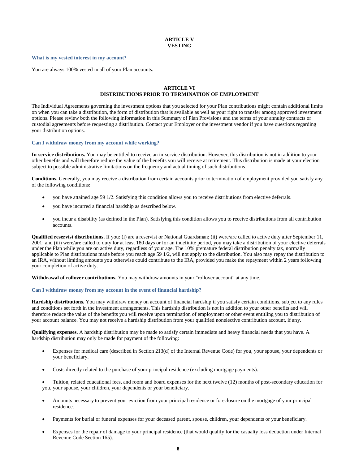## **ARTICLE V VESTING**

#### <span id="page-10-1"></span><span id="page-10-0"></span>**What is my vested interest in my account?**

<span id="page-10-2"></span>You are always 100% vested in all of your Plan accounts.

## **ARTICLE VI DISTRIBUTIONS PRIOR TO TERMINATION OF EMPLOYMENT**

<span id="page-10-3"></span>The Individual Agreements governing the investment options that you selected for your Plan contributions might contain additional limits on when you can take a distribution, the form of distribution that is available as well as your right to transfer among approved investment options. Please review both the following information in this Summary of Plan Provisions and the terms of your annuity contracts or custodial agreements before requesting a distribution. Contact your Employer or the investment vendor if you have questions regarding your distribution options.

#### <span id="page-10-4"></span>**Can I withdraw money from my account while working?**

**In-service distributions.** You may be entitled to receive an in-service distribution. However, this distribution is not in addition to your other benefits and will therefore reduce the value of the benefits you will receive at retirement. This distribution is made at your election subject to possible administrative limitations on the frequency and actual timing of such distributions.

**Conditions.** Generally, you may receive a distribution from certain accounts prior to termination of employment provided you satisfy any of the following conditions:

- you have attained age 59 1/2. Satisfying this condition allows you to receive distributions from elective deferrals.
- you have incurred a financial hardship as described below.
- you incur a disability (as defined in the Plan). Satisfying this condition allows you to receive distributions from all contribution accounts.

**Qualified reservist distributions.** If you: (i) are a reservist or National Guardsman; (ii) were/are called to active duty after September 11, 2001; and (iii) were/are called to duty for at least 180 days or for an indefinite period, you may take a distribution of your elective deferrals under the Plan while you are on active duty, regardless of your age. The 10% premature federal distribution penalty tax, normally applicable to Plan distributions made before you reach age 59 1/2, will not apply to the distribution. You also may repay the distribution to an IRA, without limiting amounts you otherwise could contribute to the IRA, provided you make the repayment within 2 years following your completion of active duty.

**Withdrawal of rollover contributions.** You may withdraw amounts in your "rollover account" at any time.

## <span id="page-10-5"></span>**Can I withdraw money from my account in the event of financial hardship?**

**Hardship distributions.** You may withdraw money on account of financial hardship if you satisfy certain conditions, subject to any rules and conditions set forth in the investment arrangements. This hardship distribution is not in addition to your other benefits and will therefore reduce the value of the benefits you will receive upon termination of employment or other event entitling you to distribution of your account balance. You may not receive a hardship distribution from your qualified nonelective contribution account, if any.

**Qualifying expenses.** A hardship distribution may be made to satisfy certain immediate and heavy financial needs that you have. A hardship distribution may only be made for payment of the following:

- Expenses for medical care (described in Section 213(d) of the Internal Revenue Code) for you, your spouse, your dependents or your beneficiary.
- Costs directly related to the purchase of your principal residence (excluding mortgage payments).

 Tuition, related educational fees, and room and board expenses for the next twelve (12) months of post-secondary education for you, your spouse, your children, your dependents or your beneficiary.

- Amounts necessary to prevent your eviction from your principal residence or foreclosure on the mortgage of your principal residence.
- Payments for burial or funeral expenses for your deceased parent, spouse, children, your dependents or your beneficiary.
- Expenses for the repair of damage to your principal residence (that would qualify for the casualty loss deduction under Internal Revenue Code Section 165).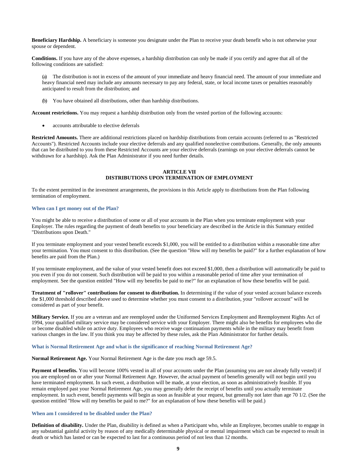**Beneficiary Hardship.** A beneficiary is someone you designate under the Plan to receive your death benefit who is not otherwise your spouse or dependent.

**Conditions.** If you have any of the above expenses, a hardship distribution can only be made if you certify and agree that all of the following conditions are satisfied:

(a) The distribution is not in excess of the amount of your immediate and heavy financial need. The amount of your immediate and heavy financial need may include any amounts necessary to pay any federal, state, or local income taxes or penalties reasonably anticipated to result from the distribution; and

(b) You have obtained all distributions, other than hardship distributions.

**Account restrictions.** You may request a hardship distribution only from the vested portion of the following accounts:

accounts attributable to elective deferrals

<span id="page-11-0"></span>**Restricted Amounts.** There are additional restrictions placed on hardship distributions from certain accounts (referred to as "Restricted Accounts"). Restricted Accounts include your elective deferrals and any qualified nonelective contributions. Generally, the only amounts that can be distributed to you from these Restricted Accounts are your elective deferrals (earnings on your elective deferrals cannot be withdrawn for a hardship). Ask the Plan Administrator if you need further details.

## **ARTICLE VII DISTRIBUTIONS UPON TERMINATION OF EMPLOYMENT**

<span id="page-11-1"></span>To the extent permitted in the investment arrangements, the provisions in this Article apply to distributions from the Plan following termination of employment.

#### <span id="page-11-2"></span>**When can I get money out of the Plan?**

You might be able to receive a distribution of some or all of your accounts in the Plan when you terminate employment with your Employer. The rules regarding the payment of death benefits to your beneficiary are described in the Article in this Summary entitled "Distributions upon Death."

If you terminate employment and your vested benefit exceeds \$1,000, you will be entitled to a distribution within a reasonable time after your termination. You must consent to this distribution. (See the question "How will my benefits be paid?" for a further explanation of how benefits are paid from the Plan.)

If you terminate employment, and the value of your vested benefit does not exceed \$1,000, then a distribution will automatically be paid to you even if you do not consent. Such distribution will be paid to you within a reasonable period of time after your termination of employment. See the question entitled "How will my benefits be paid to me?" for an explanation of how these benefits will be paid.

**Treatment of "rollover" contributions for consent to distribution.** In determining if the value of your vested account balance exceeds the \$1,000 threshold described above used to determine whether you must consent to a distribution, your "rollover account" will be considered as part of your benefit.

**Military Service.** If you are a veteran and are reemployed under the Uniformed Services Employment and Reemployment Rights Act of 1994, your qualified military service may be considered service with your Employer. There might also be benefits for employees who die or become disabled while on active duty. Employees who receive wage continuation payments while in the military may benefit from various changes in the law. If you think you may be affected by these rules, ask the Plan Administrator for further details.

#### **What is Normal Retirement Age and what is the significance of reaching Normal Retirement Age?**

**Normal Retirement Age.** Your Normal Retirement Age is the date you reach age 59.5.

Payment of benefits. You will become 100% vested in all of your accounts under the Plan (assuming you are not already fully vested) if you are employed on or after your Normal Retirement Age. However, the actual payment of benefits generally will not begin until you have terminated employment. In such event, a distribution will be made, at your election, as soon as administratively feasible. If you remain employed past your Normal Retirement Age, you may generally defer the receipt of benefits until you actually terminate employment. In such event, benefit payments will begin as soon as feasible at your request, but generally not later than age 70 1/2. (See the question entitled "How will my benefits be paid to me?" for an explanation of how these benefits will be paid.)

#### <span id="page-11-3"></span>**When am I considered to be disabled under the Plan?**

**Definition of disability.** Under the Plan, disability is defined as when a Participant who, while an Employee, becomes unable to engage in any substantial gainful activity by reason of any medically determinable physical or mental impairment which can be expected to result in death or which has lasted or can be expected to last for a continuous period of not less than 12 months.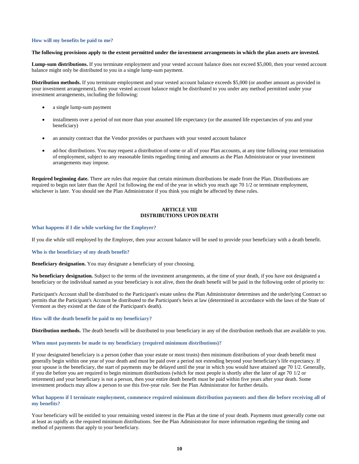#### <span id="page-12-0"></span>**How will my benefits be paid to me?**

#### **The following provisions apply to the extent permitted under the investment arrangements in which the plan assets are invested.**

**Lump-sum distributions.** If you terminate employment and your vested account balance does not exceed \$5,000, then your vested account balance might only be distributed to you in a single lump-sum payment.

**Distribution methods.** If you terminate employment and your vested account balance exceeds \$5,000 (or another amount as provided in your investment arrangement), then your vested account balance might be distributed to you under any method permitted under your investment arrangements, including the following:

- a single lump-sum payment
- installments over a period of not more than your assumed life expectancy (or the assumed life expectancies of you and your beneficiary)
- an annuity contract that the Vendor provides or purchases with your vested account balance
- ad-hoc distributions. You may request a distribution of some or all of your Plan accounts, at any time following your termination of employment, subject to any reasonable limits regarding timing and amounts as the Plan Administrator or your investment arrangements may impose.

**Required beginning date.** There are rules that require that certain minimum distributions be made from the Plan. Distributions are required to begin not later than the April 1st following the end of the year in which you reach age 70 1/2 or terminate employment, whichever is later. You should see the Plan Administrator if you think you might be affected by these rules.

## **ARTICLE VIII DISTRIBUTIONS UPON DEATH**

#### <span id="page-12-2"></span><span id="page-12-1"></span>**What happens if I die while working for the Employer?**

If you die while still employed by the Employer, then your account balance will be used to provide your beneficiary with a death benefit.

#### <span id="page-12-3"></span>**Who is the beneficiary of my death benefit?**

**Beneficiary designation.** You may designate a beneficiary of your choosing.

**No beneficiary designation.** Subject to the terms of the investment arrangements, at the time of your death, if you have not designated a beneficiary or the individual named as your beneficiary is not alive, then the death benefit will be paid in the following order of priority to:

Participant's Account shall be distributed to the Participant's estate unless the Plan Administrator determines and the underlying Contract so permits that the Participant's Account be distributed to the Participant's heirs at law (determined in accordance with the laws of the State of Vermont as they existed at the date of the Participant's death).

#### <span id="page-12-4"></span>**How will the death benefit be paid to my beneficiary?**

**Distribution methods.** The death benefit will be distributed to your beneficiary in any of the distribution methods that are available to you.

#### <span id="page-12-5"></span>**When must payments be made to my beneficiary (required minimum distributions)?**

If your designated beneficiary is a person (other than your estate or most trusts) then minimum distributions of your death benefit must generally begin within one year of your death and must be paid over a period not extending beyond your beneficiary's life expectancy. If your spouse is the beneficiary, the start of payments may be delayed until the year in which you would have attained age 70 1/2. Generally, if you die before you are required to begin minimum distributions (which for most people is shortly after the later of age 70 1/2 or retirement) and your beneficiary is not a person, then your entire death benefit must be paid within five years after your death. Some investment products may allow a person to use this five-year rule. See the Plan Administrator for further details.

### **What happens if I terminate employment, commence required minimum distribution payments and then die before receiving all of my benefits?**

Your beneficiary will be entitled to your remaining vested interest in the Plan at the time of your death. Payments must generally come out at least as rapidly as the required minimum distributions. See the Plan Administrator for more information regarding the timing and method of payments that apply to your beneficiary.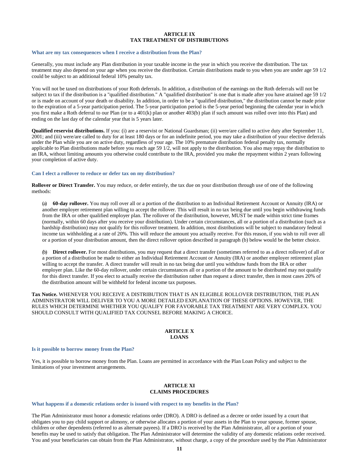#### **ARTICLE IX TAX TREATMENT OF DISTRIBUTIONS**

#### <span id="page-13-2"></span><span id="page-13-1"></span><span id="page-13-0"></span>**What are my tax consequences when I receive a distribution from the Plan?**

Generally, you must include any Plan distribution in your taxable income in the year in which you receive the distribution. The tax treatment may also depend on your age when you receive the distribution. Certain distributions made to you when you are under age 59 1/2 could be subject to an additional federal 10% penalty tax.

You will not be taxed on distributions of your Roth deferrals. In addition, a distribution of the earnings on the Roth deferrals will not be subject to tax if the distribution is a "qualified distribution." A "qualified distribution" is one that is made after you have attained age 59 1/2 or is made on account of your death or disability. In addition, in order to be a "qualified distribution," the distribution cannot be made prior to the expiration of a 5-year participation period. The 5-year participation period is the 5-year period beginning the calendar year in which you first make a Roth deferral to our Plan (or to a 401(k) plan or another 403(b) plan if such amount was rolled over into this Plan) and ending on the last day of the calendar year that is 5 years later.

**Qualified reservist distributions.** If you: (i) are a reservist or National Guardsman; (ii) were/are called to active duty after September 11, 2001; and (iii) were/are called to duty for at least 180 days or for an indefinite period, you may take a distribution of your elective deferrals under the Plan while you are on active duty, regardless of your age. The 10% premature distribution federal penalty tax, normally applicable to Plan distributions made before you reach age 59 1/2, will not apply to the distribution. You also may repay the distribution to an IRA, without limiting amounts you otherwise could contribute to the IRA, provided you make the repayment within 2 years following your completion of active duty.

#### <span id="page-13-3"></span>**Can I elect a rollover to reduce or defer tax on my distribution?**

**Rollover or Direct Transfer.** You may reduce, or defer entirely, the tax due on your distribution through use of one of the following methods:

(a) **60-day rollover.** You may roll over all or a portion of the distribution to an Individual Retirement Account or Annuity (IRA) or another employer retirement plan willing to accept the rollover. This will result in no tax being due until you begin withdrawing funds from the IRA or other qualified employer plan. The rollover of the distribution, however, MUST be made within strict time frames (normally, within 60 days after you receive your distribution). Under certain circumstances, all or a portion of a distribution (such as a hardship distribution) may not qualify for this rollover treatment. In addition, most distributions will be subject to mandatory federal income tax withholding at a rate of 20%. This will reduce the amount you actually receive. For this reason, if you wish to roll over all or a portion of your distribution amount, then the direct rollover option described in paragraph (b) below would be the better choice.

(b) **Direct rollover.** For most distributions, you may request that a direct transfer (sometimes referred to as a direct rollover) of all or a portion of a distribution be made to either an Individual Retirement Account or Annuity (IRA) or another employer retirement plan willing to accept the transfer. A direct transfer will result in no tax being due until you withdraw funds from the IRA or other employer plan. Like the 60-day rollover, under certain circumstances all or a portion of the amount to be distributed may not qualify for this direct transfer. If you elect to actually receive the distribution rather than request a direct transfer, then in most cases 20% of the distribution amount will be withheld for federal income tax purposes.

**Tax Notice.** WHENEVER YOU RECEIVE A DISTRIBUTION THAT IS AN ELIGIBLE ROLLOVER DISTRIBUTION, THE PLAN ADMINISTRATOR WILL DELIVER TO YOU A MORE DETAILED EXPLANATION OF THESE OPTIONS. HOWEVER, THE RULES WHICH DETERMINE WHETHER YOU QUALIFY FOR FAVORABLE TAX TREATMENT ARE VERY COMPLEX. YOU SHOULD CONSULT WITH QUALIFIED TAX COUNSEL BEFORE MAKING A CHOICE.

### **ARTICLE X LOANS**

#### <span id="page-13-5"></span><span id="page-13-4"></span>**Is it possible to borrow money from the Plan?**

Yes, it is possible to borrow money from the Plan. Loans are permitted in accordance with the Plan Loan Policy and subject to the limitations of your investment arrangements.

## **ARTICLE XI CLAIMS PROCEDURES**

#### <span id="page-13-7"></span><span id="page-13-6"></span>**What happens if a domestic relations order is issued with respect to my benefits in the Plan?**

The Plan Administrator must honor a domestic relations order (DRO). A DRO is defined as a decree or order issued by a court that obligates you to pay child support or alimony, or otherwise allocates a portion of your assets in the Plan to your spouse, former spouse, children or other dependents (referred to as alternate payees). If a DRO is received by the Plan Administrator, all or a portion of your benefits may be used to satisfy that obligation. The Plan Administrator will determine the validity of any domestic relations order received. You and your beneficiaries can obtain from the Plan Administrator, without charge, a copy of the procedure used by the Plan Administrator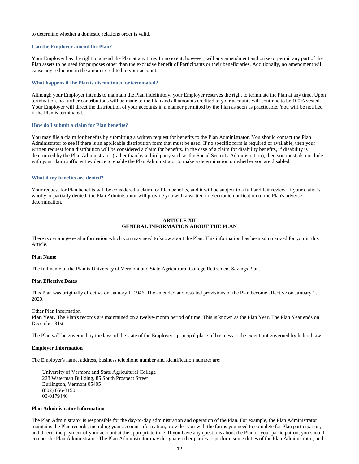#### to determine whether a domestic relations order is valid.

#### <span id="page-14-0"></span>**Can the Employer amend the Plan?**

Your Employer has the right to amend the Plan at any time. In no event, however, will any amendment authorize or permit any part of the Plan assets to be used for purposes other than the exclusive benefit of Participants or their beneficiaries. Additionally, no amendment will cause any reduction in the amount credited to your account.

#### <span id="page-14-1"></span>**What happens if the Plan is discontinued or terminated?**

Although your Employer intends to maintain the Plan indefinitely, your Employer reserves the right to terminate the Plan at any time. Upon termination, no further contributions will be made to the Plan and all amounts credited to your accounts will continue to be 100% vested. Your Employer will direct the distribution of your accounts in a manner permitted by the Plan as soon as practicable. You will be notified if the Plan is terminated.

#### <span id="page-14-2"></span>**How do I submit a claim for Plan benefits?**

You may file a claim for benefits by submitting a written request for benefits to the Plan Administrator. You should contact the Plan Administrator to see if there is an applicable distribution form that must be used. If no specific form is required or available, then your written request for a distribution will be considered a claim for benefits. In the case of a claim for disability benefits, if disability is determined by the Plan Administrator (rather than by a third party such as the Social Security Administration), then you must also include with your claim sufficient evidence to enable the Plan Administrator to make a determination on whether you are disabled.

#### <span id="page-14-3"></span>**What if my benefits are denied?**

Your request for Plan benefits will be considered a claim for Plan benefits, and it will be subject to a full and fair review. If your claim is wholly or partially denied, the Plan Administrator will provide you with a written or electronic notification of the Plan's adverse determination.

#### **ARTICLE XII GENERAL INFORMATION ABOUT THE PLAN**

<span id="page-14-5"></span><span id="page-14-4"></span>There is certain general information which you may need to know about the Plan. This information has been summarized for you in this Article.

#### <span id="page-14-6"></span>**Plan Name**

The full name of the Plan is University of Vermont and State Agricultural College Retirement Savings Plan.

#### <span id="page-14-7"></span>**Plan Effective Dates**

This Plan was originally effective on January 1, 1946. The amended and restated provisions of the Plan become effective on January 1, 2020.

#### <span id="page-14-8"></span>Other Plan Information

**Plan Year.** The Plan's records are maintained on a twelve-month period of time. This is known as the Plan Year. The Plan Year ends on December 31st.

The Plan will be governed by the laws of the state of the Employer's principal place of business to the extent not governed by federal law.

#### <span id="page-14-9"></span>**Employer Information**

The Employer's name, address, business telephone number and identification number are:

University of Vermont and State Agricultural College 228 Waterman Building, 85 South Prospect Street Burlington, Vermont 05405 (802) 656-3150 03-0179440

#### <span id="page-14-10"></span>**Plan Administrator Information**

The Plan Administrator is responsible for the day-to-day administration and operation of the Plan. For example, the Plan Administrator maintains the Plan records, including your account information, provides you with the forms you need to complete for Plan participation, and directs the payment of your account at the appropriate time. If you have any questions about the Plan or your participation, you should contact the Plan Administrator. The Plan Administrator may designate other parties to perform some duties of the Plan Administrator, and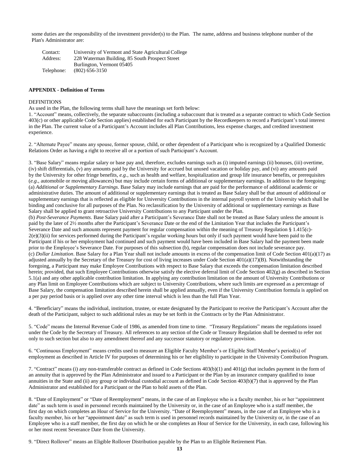some duties are the responsibility of the investment provider(s) to the Plan. The name, address and business telephone number of the Plan's Administrator are:

Contact: University of Vermont and State Agricultural College Address: 228 Waterman Building, 85 South Prospect Street Burlington, Vermont 05405 Telephone: (802) 656-3150

## **APPENDIX - Definition of Terms**

#### DEFINITIONS

As used in the Plan, the following terms shall have the meanings set forth below:

1. "Account" means, collectively, the separate subaccounts (including a subaccount that is treated as a separate contract to which Code Section 403(c) or other applicable Code Section applies) established for each Participant by the Recordkeepers to record a Participant's total interest in the Plan. The current value of a Participant's Account includes all Plan Contributions, less expense charges, and credited investment experience.

2. "Alternate Payee" means any spouse, former spouse, child, or other dependent of a Participant who is recognized by a Qualified Domestic Relations Order as having a right to receive all or a portion of such Participant's Account.

3. "Base Salary" means regular salary or base pay and, therefore, excludes earnings such as (i) imputed earnings (ii) bonuses, (iii) overtime, (iv) shift differentials, (v) any amounts paid by the University for accrued but unused vacation or holiday pay, and (vi) any amounts paid by the University for other fringe benefits, *e.g.*, such as health and welfare, hospitalization and group life insurance benefits, or prerequisites (*e.g*., automobile or moving allowances) but may include certain forms of additional or supplementary earnings. In addition to the foregoing: (a) *Additional or Supplementary Earnings*. Base Salary may include earnings that are paid for the performance of additional academic or administrative duties. The amount of additional or supplementary earnings that is treated as Base Salary shall be that amount of additional or supplementary earnings that is reflected as eligible for University Contributions in the internal payroll system of the University which shall be binding and conclusive for all purposes of the Plan. No reclassification by the University of additional or supplementary earnings as Base Salary shall be applied to grant retroactive University Contributions to any Participant under the Plan.

(b) *Post-Severance Payments*. Base Salary paid after a Participant's Severance Date shall not be treated as Base Salary unless the amount is paid by the later of 2½ months after the Participant's Severance Date or the end of the Limitation Year that includes the Participant's Severance Date and such amounts represent payment for regular compensation within the meaning of Treasury Regulation § 1.415(c)- 2(e)(3)(ii) for services performed during the Participant's regular working hours but only if such payment would have been paid to the Participant if his or her employment had continued and such payment would have been included in Base Salary had the payment been made prior to the Employee's Severance Date. For purposes of this subsection (b), regular compensation does not include severance pay. (c) *Dollar Limitation*. Base Salary for a Plan Year shall not include amounts in excess of the compensation limit of Code Section 401(a)(17) as adjusted annually by the Secretary of the Treasury for cost of living increases under Code Section  $401(a)(17)(B)$ . Notwithstanding the foregoing, a Participant may make Employee Contributions with respect to Base Salary that exceeds the compensation limitation described herein; provided, that such Employee Contributions otherwise satisfy the elective deferral limit of Code Section 402(g) as described in Section 5.1(a) and any other applicable contribution limitation. In applying any contribution limitation on the amount of University Contributions or any Plan limit on Employee Contributions which are subject to University Contributions, where such limits are expressed as a percentage of Base Salary, the compensation limitation described herein shall be applied annually, even if the University Contribution formula is applied on a per pay period basis or is applied over any other time interval which is less than the full Plan Year.

4. "Beneficiary" means the individual, institution, trustee, or estate designated by the Participant to receive the Participant's Account after the death of the Participant, subject to such additional rules as may be set forth in the Contracts or by the Plan Administrator.

5. "Code" means the Internal Revenue Code of 1986, as amended from time to time. "Treasury Regulations" means the regulations issued under the Code by the Secretary of Treasury. All references to any section of the Code or Treasury Regulation shall be deemed to refer not only to such section but also to any amendment thereof and any successor statutory or regulatory provision.

6. "Continuous Employment" means credits used to measure an Eligible Faculty Member's or Eligible Staff Member's period(s) of employment as described in Article IV for purposes of determining his or her eligibility to participate in the University Contribution Program.

7. "Contract" means (i) any non-transferable contract as defined in Code Sections 403(b)(1) and 401(g) that includes payment in the form of an annuity that is approved by the Plan Administrator and issued to a Participant or the Plan by an insurance company qualified to issue annuities in the State and (ii) any group or individual custodial account as defined in Code Section 403(b)(7) that is approved by the Plan Administrator and established for a Participant or the Plan to hold assets of the Plan.

8. "Date of Employment" or "Date of Reemployment" means, in the case of an Employee who is a faculty member, his or her "appointment date" as such term is used in personnel records maintained by the University or, in the case of an Employee who is a staff member, the first day on which completes an Hour of Service for the University. "Date of Reemployment" means, in the case of an Employee who is a faculty member, his or her "appointment date" as such term is used in personnel records maintained by the University or, in the case of an Employee who is a staff member, the first day on which he or she completes an Hour of Service for the University, in each case, following his or her most recent Severance Date from the University.

9. "Direct Rollover" means an Eligible Rollover Distribution payable by the Plan to an Eligible Retirement Plan.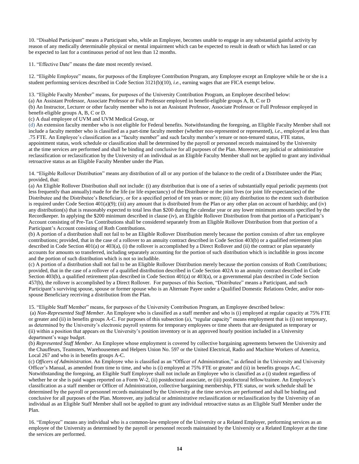10. "Disabled Participant" means a Participant who, while an Employee, becomes unable to engage in any substantial gainful activity by reason of any medically determinable physical or mental impairment which can be expected to result in death or which has lasted or can be expected to last for a continuous period of not less than 12 months.

11. "Effective Date" means the date most recently revised.

12. "Eligible Employee" means, for purposes of the Employee Contribution Program, any Employee except an Employee while he or she is a student performing services described in Code Section 3121(b)(10), *i.e.*, earning wages that are FICA exempt below.

13. "Eligible Faculty Member" means, for purposes of the University Contribution Program, an Employee described below:

(a) An Assistant Professor, Associate Professor or Full Professor employed in benefit-eligible groups A, B, C or D

(b) An Instructor, Lecturer or other faculty member who is not an Assistant Professor, Associate Professor or Full Professor employed in benefit-eligible groups A, B, C or D.

(c) A dual employee of UVM and UVM Medical Group, or

(d) An extension faculty member who is not eligible for Federal benefits. Notwithstanding the foregoing, an Eligible Faculty Member shall not include a faculty member who is classified as a part-time faculty member (whether non-represented or represented), *i.e*., employed at less than .75 FTE. An Employee's classification as a "faculty member" and such faculty member's tenure or non-tenured status, FTE status, appointment status, work schedule or classification shall be determined by the payroll or personnel records maintained by the University at the time services are performed and shall be binding and conclusive for all purposes of the Plan. Moreover, any judicial or administrative reclassification or reclassification by the University of an individual as an Eligible Faculty Member shall not be applied to grant any individual retroactive status as an Eligible Faculty Member under the Plan.

14. "Eligible Rollover Distribution" means any distribution of all or any portion of the balance to the credit of a Distributee under the Plan; provided, that:

(a) An Eligible Rollover Distribution shall not include: (i) any distribution that is one of a series of substantially equal periodic payments (not less frequently than annually) made for the life (or life expectancy) of the Distributee or the joint lives (or joint life expectancies) of the Distributee and the Distributee's Beneficiary, or for a specified period of ten years or more; (ii) any distribution to the extent such distribution is required under Code Section  $401(a)(9)$ ; (iii) any amount that is distributed from the Plan or any other plan on account of hardship; and (iv) any distribution(s) that is reasonably expected to total less than \$200 during the calendar year or any lower minimum amounts specified by the Recordkeeper. In applying the \$200 minimum described in clause (iv), an Eligible Rollover Distribution from that portion of a Participant's Account consisting of Pre-Tax Contributions shall be considered separately from an Eligible Rollover Distribution from that portion of a Participant's Account consisting of Roth Contributions.

(b) A portion of a distribution shall not fail to be an Eligible Rollover Distribution merely because the portion consists of after tax employee contributions; provided, that in the case of a rollover to an annuity contract described in Code Section 403(b) or a qualified retirement plan described in Code Section 401(a) or 403(a), (i) the rollover is accomplished by a Direct Rollover and (ii) the contract or plan separately accounts for amounts so transferred, including separately accounting for the portion of such distribution which is includible in gross income and the portion of such distribution which is not so includible.

(c) A portion of a distribution shall not fail to be an Eligible Rollover Distribution merely because the portion consists of Roth Contributions; provided, that in the case of a rollover of a qualified distribution described in Code Section 402A to an annuity contract described in Code Section 403(b), a qualified retirement plan described in Code Section 401(a) or 403(a), or a governmental plan described in Code Section 457(b), the rollover is accomplished by a Direct Rollover. For purposes of this Section, "Distributee" means a Participant, and such Participant's surviving spouse, spouse or former spouse who is an Alternate Payee under a Qualified Domestic Relations Order, and/or nonspouse Beneficiary receiving a distribution from the Plan.

15. "Eligible Staff Member" means, for purposes of the University Contribution Program, an Employee described below:

(a) *Non-Represented Staff Member*. An Employee who is classified as a staff member and who is (i) employed at regular capacity at 75% FTE or greater and (ii) in benefits groups A-C. For purposes of this subsection (a), "regular capacity" means employment that is (i) not temporary, as determined by the University's electronic payroll systems for temporary employees or time sheets that are designated as temporary or (ii) within a position that appears on the University's position inventory or is an approved hourly position included in a University department's wage budget.

(b) *Represented Staff Member*. An Employee whose employment is covered by collective bargaining agreements between the University and the Chauffeurs, Teamsters, Warehousemen and Helpers Union No. 597 or the United Electrical, Radio and Machine Workers of America, Local 267 and who is in benefits groups A-C.

(c) *Officers of Administration*. An Employee who is classified as an "Officer of Administration," as defined in the University and University Officer's Manual, as amended from time to time, and who is (i) employed at 75% FTE or greater and (ii) in benefits groups A-C. Notwithstanding the foregoing, an Eligible Staff Employee shall not include an Employee who is classified as a (i) student regardless of whether he or she is paid wages reported on a Form W-2, (ii) postdoctoral associate, or (iii) postdoctoral fellow/trainee. An Employee's classification as a staff member or Officer of Administration, collective bargaining membership, FTE status, or work schedule shall be determined by the payroll or personnel records maintained by the University at the time services are performed and shall be binding and conclusive for all purposes of the Plan. Moreover, any judicial or administrative reclassification or reclassification by the University of an individual as an Eligible Staff Member shall not be applied to grant any individual retroactive status as an Eligible Staff Member under the Plan.

16. "Employee" means any individual who is a common-law employee of the University or a Related Employer, performing services as an employee of the University as determined by the payroll or personnel records maintained by the University or a Related Employer at the time the services are performed.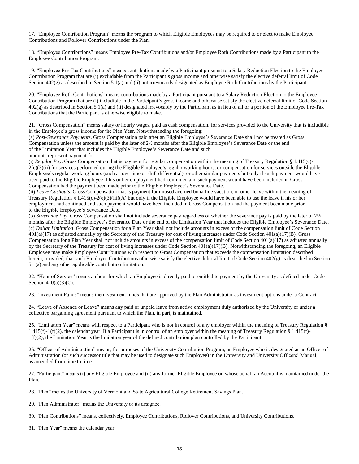17. "Employee Contribution Program" means the program to which Eligible Employees may be required to or elect to make Employee Contributions and Rollover Contributions under the Plan.

18. "Employee Contributions" means Employee Pre-Tax Contributions and/or Employee Roth Contributions made by a Participant to the Employee Contribution Program.

19. "Employee Pre-Tax Contributions" means contributions made by a Participant pursuant to a Salary Reduction Election to the Employee Contribution Program that are (i) excludable from the Participant's gross income and otherwise satisfy the elective deferral limit of Code Section  $402(g)$  as described in Section 5.1(a) and (ii) not irrevocably designated as Employee Roth Contributions by the Participant.

20. "Employee Roth Contributions" means contributions made by a Participant pursuant to a Salary Reduction Election to the Employee Contribution Program that are (i) includible in the Participant's gross income and otherwise satisfy the elective deferral limit of Code Section 402(g) as described in Section 5.1(a) and (ii) designated irrevocably by the Participant as in lieu of all or a portion of the Employee Pre-Tax Contributions that the Participant is otherwise eligible to make.

21. "Gross Compensation" means salary or hourly wages, paid as cash compensation, for services provided to the University that is includible in the Employee's gross income for the Plan Year. Notwithstanding the foregoing:

(a) *Post-Severance Payments*. Gross Compensation paid after an Eligible Employee's Severance Date shall not be treated as Gross Compensation unless the amount is paid by the later of 2½ months after the Eligible Employee's Severance Date or the end of the Limitation Year that includes the Eligible Employee's Severance Date and such amounts represent payment for:

(i) *Regular Pay*. Gross Compensation that is payment for regular compensation within the meaning of Treasury Regulation § 1.415(c)- 2(e)(3)(ii) for services performed during the Eligible Employee's regular working hours, or compensation for services outside the Eligible Employee's regular working hours (such as overtime or shift differential), or other similar payments but only if such payment would have been paid to the Eligible Employee if his or her employment had continued and such payment would have been included in Gross Compensation had the payment been made prior to the Eligible Employee's Severance Date.

(ii) *Leave Cashouts*. Gross Compensation that is payment for unused accrued bona fide vacation, or other leave within the meaning of Treasury Regulation § 1.415(c)-2(e)(3)(iii)(A) but only if the Eligible Employee would have been able to use the leave if his or her employment had continued and such payment would have been included in Gross Compensation had the payment been made prior to the Eligible Employee's Severance Date.

(b) *Severance Pay*. Gross Compensation shall not include severance pay regardless of whether the severance pay is paid by the later of 2½ months after the Eligible Employee's Severance Date or the end of the Limitation Year that includes the Eligible Employee's Severance Date. (c) *Dollar Limitation*. Gross Compensation for a Plan Year shall not include amounts in excess of the compensation limit of Code Section 401(a)(17) as adjusted annually by the Secretary of the Treasury for cost of living increases under Code Section 401(a)(17)(B). Gross Compensation for a Plan Year shall not include amounts in excess of the compensation limit of Code Section 401(a)(17) as adjusted annually by the Secretary of the Treasury for cost of living increases under Code Section 401(a)(17)(B). Notwithstanding the foregoing, an Eligible Employee may make Employee Contributions with respect to Gross Compensation that exceeds the compensation limitation described herein; provided, that such Employee Contributions otherwise satisfy the elective deferral limit of Code Section 402(g) as described in Section 5.1(a) and any other applicable contribution limitation.

22. "Hour of Service" means an hour for which an Employee is directly paid or entitled to payment by the University as defined under Code Section  $410(a)(3)(C)$ .

23. "Investment Funds" means the investment funds that are approved by the Plan Administrator as investment options under a Contract.

24. "Leave of Absence or Leave" means any paid or unpaid leave from active employment duly authorized by the University or under a collective bargaining agreement pursuant to which the Plan, in part, is maintained.

25. "Limitation Year" means with respect to a Participant who is not in control of any employer within the meaning of Treasury Regulation § 1.415(f)-1(f)(2), the calendar year. If a Participant is in control of an employer within the meaning of Treasury Regulation § 1.415(f)- 1(f)(2), the Limitation Year is the limitation year of the defined contribution plan controlled by the Participant.

26. "Officer of Administration" means, for purposes of the University Contribution Program, an Employee who is designated as an Officer of Administration (or such successor title that may be used to designate such Employee) in the University and University Officers' Manual, as amended from time to time.

27. "Participant" means (i) any Eligible Employee and (ii) any former Eligible Employee on whose behalf an Account is maintained under the Plan.

28. "Plan" means the University of Vermont and State Agricultural College Retirement Savings Plan.

29. "Plan Administrator" means the University or its designee.

30. "Plan Contributions" means, collectively, Employee Contributions, Rollover Contributions, and University Contributions.

31. "Plan Year" means the calendar year.